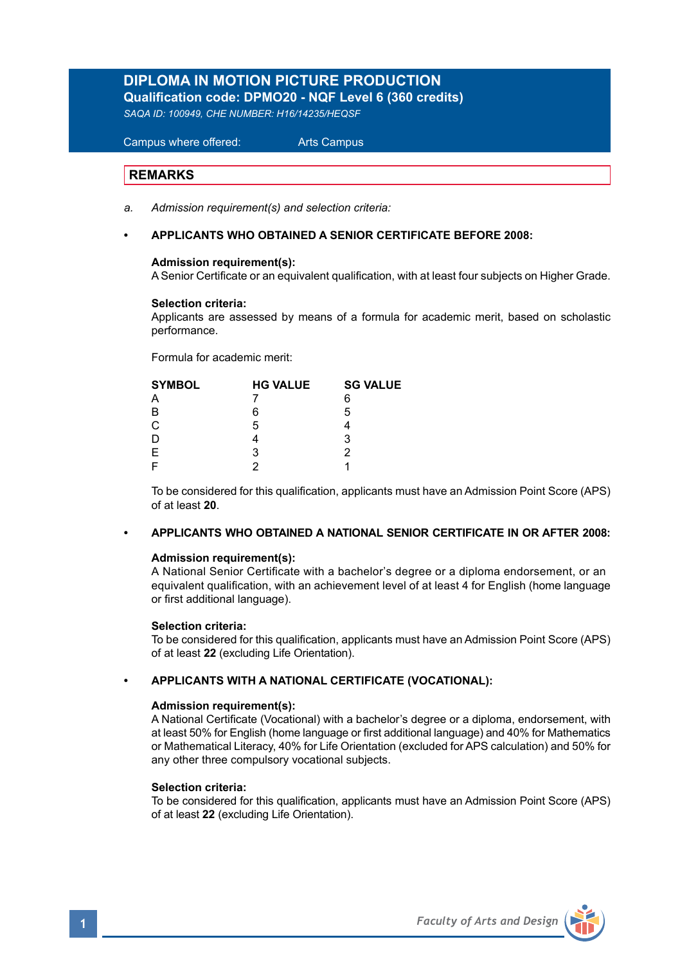# **DIPLOMA IN MOTION PICTURE PRODUCTION Qualification code: DPMO20 - NQF Level 6 (360 credits)**

*SAQA ID: 100949, CHE NUMBER: H16/14235/HEQSF*

 Campus where offered: Arts Campus

# **REMARKS**

Ξ

- *a. Admission requirement(s) and selection criteria:*
- **APPLICANTS WHO OBTAINED A SENIOR CERTIFICATE BEFORE 2008:**

#### **Admission requirement(s):**

A Senior Certificate or an equivalent qualification, with at least four subjects on Higher Grade.

#### **Selection criteria:**

Applicants are assessed by means of a formula for academic merit, based on scholastic performance.

Formula for academic merit:

| <b>SYMBOL</b> | <b>HG VALUE</b> | <b>SG VALUE</b> |  |
|---------------|-----------------|-----------------|--|
| A             |                 | 6               |  |
| B             | 6               | 5               |  |
| $\mathsf{C}$  | 5               |                 |  |
|               |                 | 3               |  |
| E             | з               |                 |  |
|               |                 |                 |  |
|               |                 |                 |  |

 To be considered for this qualification, applicants must have an Admission Point Score (APS) of at least **20**.

#### **• APPLICANTS WHO OBTAINED A NATIONAL SENIOR CERTIFICATE IN OR AFTER 2008:**

#### **Admission requirement(s):**

 A National Senior Certificate with a bachelor's degree or a diploma endorsement, or an equivalent qualification, with an achievement level of at least 4 for English (home language or first additional language).

#### **Selection criteria:**

To be considered for this qualification, applicants must have an Admission Point Score (APS) of at least **22** (excluding Life Orientation).

#### **• APPLICANTS WITH A NATIONAL CERTIFICATE (VOCATIONAL):**

#### **Admission requirement(s):**

 A National Certificate (Vocational) with a bachelor's degree or a diploma, endorsement, with at least 50% for English (home language or first additional language) and 40% for Mathematics or Mathematical Literacy, 40% for Life Orientation (excluded for APS calculation) and 50% for any other three compulsory vocational subjects.

#### **Selection criteria:**

To be considered for this qualification, applicants must have an Admission Point Score (APS) of at least **22** (excluding Life Orientation).

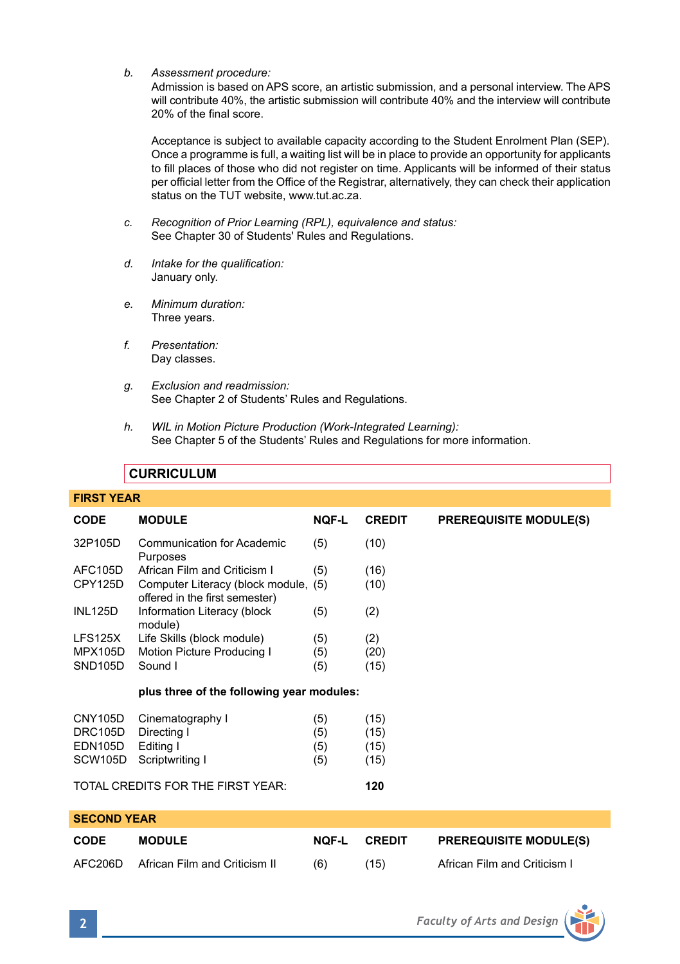*b. Assessment procedure:* 

 Admission is based on APS score, an artistic submission, and a personal interview. The APS will contribute 40%, the artistic submission will contribute 40% and the interview will contribute 20% of the final score.

 Acceptance is subject to available capacity according to the Student Enrolment Plan (SEP). Once a programme is full, a waiting list will be in place to provide an opportunity for applicants to fill places of those who did not register on time. Applicants will be informed of their status per official letter from the Office of the Registrar, alternatively, they can check their application status on the TUT website, www.tut.ac.za.

- *c. Recognition of Prior Learning (RPL), equivalence and status:* See Chapter 30 of Students' Rules and Regulations.
- *d. Intake for the qualification:* January only.
- *e. Minimum duration:* Three years.
- *f. Presentation:* Day classes.
- *g. Exclusion and readmission:* See Chapter 2 of Students' Rules and Regulations.
- *h. WIL in Motion Picture Production (Work-Integrated Learning):* See Chapter 5 of the Students' Rules and Regulations for more information.

# **CURRICULUM**

# **FIRST YEAR**

| <b>CODE</b>          | <b>MODULE</b>                                                          | <b>NQF-L</b> | <b>CREDIT</b> | <b>PREREQUISITE MODULE(S)</b> |  |
|----------------------|------------------------------------------------------------------------|--------------|---------------|-------------------------------|--|
| 32P105D              | Communication for Academic<br>Purposes                                 | (5)          | (10)          |                               |  |
| <b>AFC105D</b>       | African Film and Criticism I                                           | (5)          | (16)          |                               |  |
| CPY125D              | Computer Literacy (block module, (5)<br>offered in the first semester) |              | (10)          |                               |  |
| <b>INL125D</b>       | Information Literacy (block<br>module)                                 | (5)          | (2)           |                               |  |
| LFS125X              | Life Skills (block module)                                             | (5)          | (2)           |                               |  |
| <b>MPX105D</b>       | Motion Picture Producing I                                             | (5)          | (20)          |                               |  |
| SND <sub>105</sub> D | Sound I                                                                | (5)          | (15)          |                               |  |
|                      | plus three of the following year modules:                              |              |               |                               |  |
| CNY105D              | Cinematography I                                                       | (5)          | (15)          |                               |  |
| <b>DRC105D</b>       | Directing I                                                            | (5)          | (15)          |                               |  |
| <b>EDN105D</b>       | Editing I                                                              | (5)          | (15)          |                               |  |
| SCW <sub>105</sub> D | Scriptwriting I                                                        | (5)          | (15)          |                               |  |
|                      | TOTAL CREDITS FOR THE FIRST YEAR:                                      |              | 120           |                               |  |
| <b>SECOND YEAR</b>   |                                                                        |              |               |                               |  |
| <b>CODE</b>          | <b>MODULE</b>                                                          | <b>NQF-L</b> | <b>CREDIT</b> | <b>PREREQUISITE MODULE(S)</b> |  |
| AFC206D              | African Film and Criticism II                                          | (6)          | (15)          | African Film and Criticism I  |  |

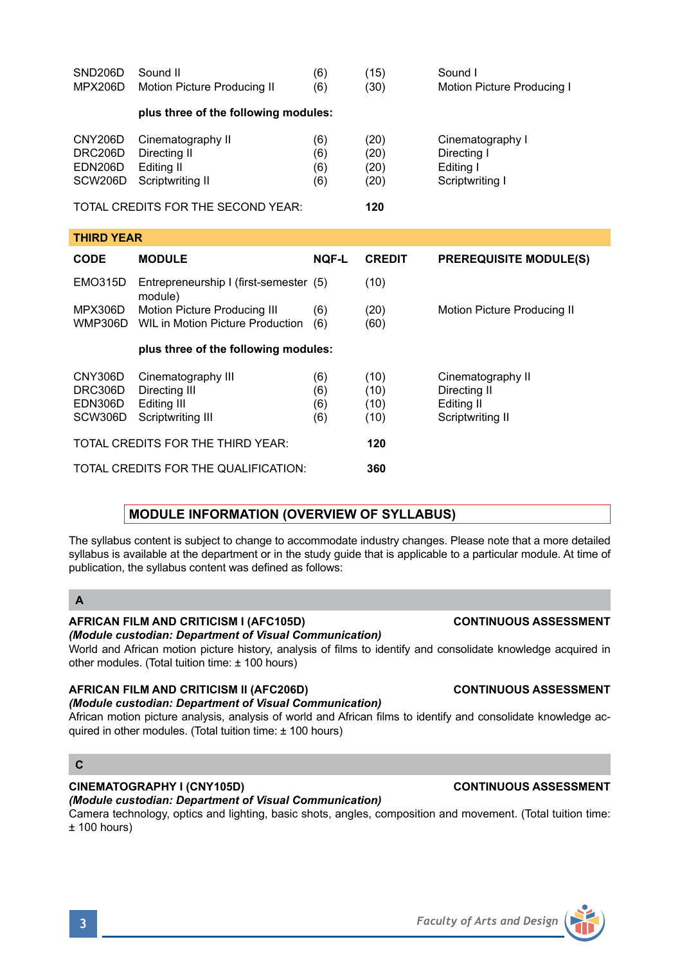| <b>Faculty of Arts and Design</b> |
|-----------------------------------|
|                                   |

The syllabus content is subject to change to accommodate industry changes. Please note that a more detailed syllabus is available at the department or in the study guide that is applicable to a particular module. At time of publication, the syllabus content was defined as follows:

# **THIRD YEAR**

| <b>CODE</b>                              | <b>MODULE</b>                                                           | <b>NQF-L</b>             | <b>CREDIT</b>                | <b>PREREQUISITE MODULE(S)</b>                                       |  |  |
|------------------------------------------|-------------------------------------------------------------------------|--------------------------|------------------------------|---------------------------------------------------------------------|--|--|
| <b>EMO315D</b>                           | Entrepreneurship I (first-semester (5)<br>module)                       |                          | (10)                         |                                                                     |  |  |
| MPX306D<br>WMP306D                       | Motion Picture Producing III<br>WIL in Motion Picture Production        | (6)<br>(6)               | (20)<br>(60)                 | Motion Picture Producing II                                         |  |  |
|                                          | plus three of the following modules:                                    |                          |                              |                                                                     |  |  |
| CNY306D<br>DRC306D<br>EDN306D<br>SCW306D | Cinematography III<br>Directing III<br>Editing III<br>Scriptwriting III | (6)<br>(6)<br>(6)<br>(6) | (10)<br>(10)<br>(10)<br>(10) | Cinematography II<br>Directing II<br>Editing II<br>Scriptwriting II |  |  |
| TOTAL CREDITS FOR THE THIRD YEAR:        |                                                                         |                          | 120                          |                                                                     |  |  |
| TOTAL CREDITS FOR THE QUALIFICATION:     |                                                                         |                          | 360                          |                                                                     |  |  |

SND206D Sound II (6) (15) Sound I<br>MPX206D Motion Picture Producing II (6) (30) Motion Picture Producing I

CNY206D Cinematography II (6) (20) Cinematography I DRC206D Directing II (6) (20) Directing I<br>
EDN206D Editing II (6) (20) Editing I EDN206D Editing II (6) (20) Editing I SCW206D Scriptwriting II (6) (20) Scriptwriting I

# **MODULE INFORMATION (OVERVIEW OF SYLLABUS)**

# **A**

# **AFRICAN FILM AND CRITICISM I (AFC105D) CONTINUOUS ASSESSMENT**

MPX206D Motion Picture Producing II (6)

**plus three of the following modules:** 

TOTAL CREDITS FOR THE SECOND YEAR: **120**

*(Module custodian: Department of Visual Communication)*

World and African motion picture history, analysis of films to identify and consolidate knowledge acquired in other modules. (Total tuition time: ± 100 hours)

# **AFRICAN FILM AND CRITICISM II (AFC206D) CONTINUOUS ASSESSMENT**

# *(Module custodian: Department of Visual Communication)*

African motion picture analysis, analysis of world and African films to identify and consolidate knowledge acquired in other modules. (Total tuition time: ± 100 hours)

# **C**

# **CINEMATOGRAPHY I (CNY105D) CONTINUOUS ASSESSMENT**

*(Module custodian: Department of Visual Communication)*

Camera technology, optics and lighting, basic shots, angles, composition and movement. (Total tuition time:  $± 100$  hours)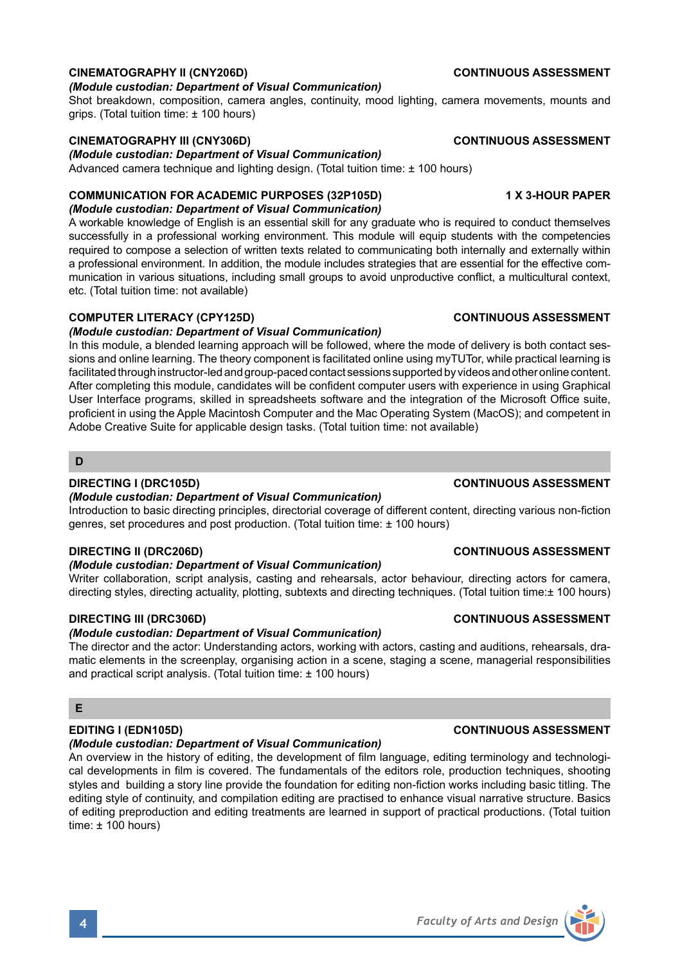# **CINEMATOGRAPHY II (CNY206D) CONTINUOUS ASSESSMENT**

#### *(Module custodian: Department of Visual Communication)*

Shot breakdown, composition, camera angles, continuity, mood lighting, camera movements, mounts and grips. (Total tuition time: ± 100 hours)

### **CINEMATOGRAPHY III (CNY306D) CONTINUOUS ASSESSMENT**

*(Module custodian: Department of Visual Communication)*

Advanced camera technique and lighting design. (Total tuition time: ± 100 hours)

### **COMMUNICATION FOR ACADEMIC PURPOSES (32P105D) 1 X 3-HOUR PAPER**

### *(Module custodian: Department of Visual Communication)*

A workable knowledge of English is an essential skill for any graduate who is required to conduct themselves successfully in a professional working environment. This module will equip students with the competencies required to compose a selection of written texts related to communicating both internally and externally within a professional environment. In addition, the module includes strategies that are essential for the effective communication in various situations, including small groups to avoid unproductive conflict, a multicultural context, etc. (Total tuition time: not available)

### **COMPUTER LITERACY (CPY125D) CONTINUOUS ASSESSMENT**

### *(Module custodian: Department of Visual Communication)*

In this module, a blended learning approach will be followed, where the mode of delivery is both contact sessions and online learning. The theory component is facilitated online using myTUTor, while practical learning is facilitated through instructor-led and group-paced contact sessions supported by videos and other online content. After completing this module, candidates will be confident computer users with experience in using Graphical User Interface programs, skilled in spreadsheets software and the integration of the Microsoft Office suite, proficient in using the Apple Macintosh Computer and the Mac Operating System (MacOS); and competent in Adobe Creative Suite for applicable design tasks. (Total tuition time: not available)

### **D**

### **DIRECTING I (DRC105D) CONTINUOUS ASSESSMENT**

### *(Module custodian: Department of Visual Communication)*

Introduction to basic directing principles, directorial coverage of different content, directing various non-fiction genres, set procedures and post production. (Total tuition time: ± 100 hours)

### **DIRECTING II (DRC206D) CONTINUOUS ASSESSMENT**

#### *(Module custodian: Department of Visual Communication)*

Writer collaboration, script analysis, casting and rehearsals, actor behaviour, directing actors for camera, directing styles, directing actuality, plotting, subtexts and directing techniques. (Total tuition time:± 100 hours)

### **DIRECTING III (DRC306D) CONTINUOUS ASSESSMENT**

#### *(Module custodian: Department of Visual Communication)*

The director and the actor: Understanding actors, working with actors, casting and auditions, rehearsals, dramatic elements in the screenplay, organising action in a scene, staging a scene, managerial responsibilities and practical script analysis. (Total tuition time: ± 100 hours)

# **E**

### *(Module custodian: Department of Visual Communication)*

An overview in the history of editing, the development of film language, editing terminology and technological developments in film is covered. The fundamentals of the editors role, production techniques, shooting styles and building a story line provide the foundation for editing non-fiction works including basic titling. The editing style of continuity, and compilation editing are practised to enhance visual narrative structure. Basics of editing preproduction and editing treatments are learned in support of practical productions. (Total tuition time: ± 100 hours)

# **EDITING I (EDN105D) CONTINUOUS ASSESSMENT**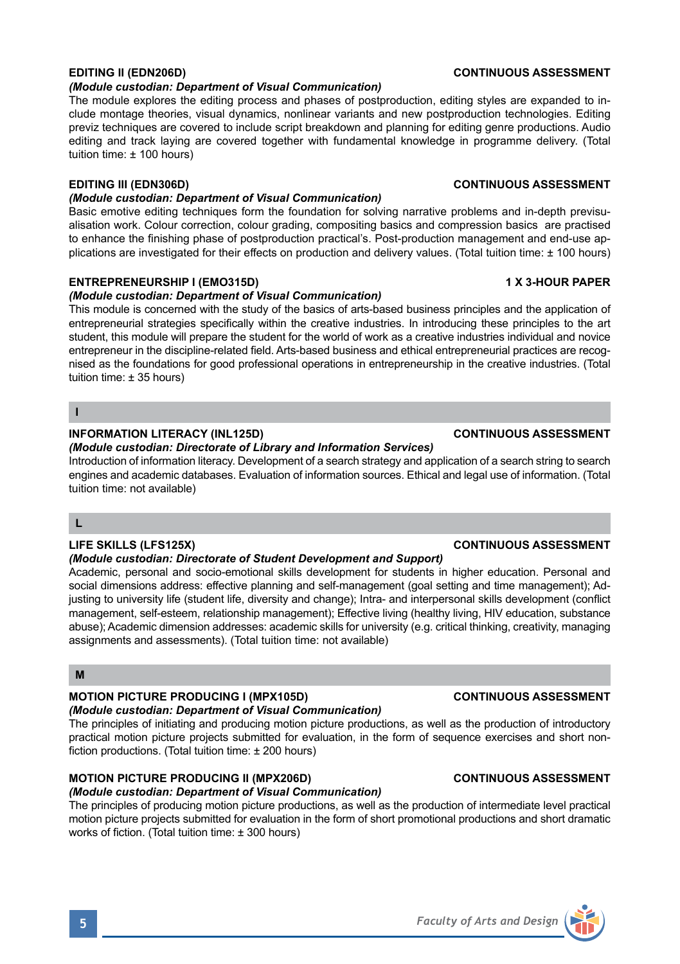#### *(Module custodian: Department of Visual Communication)*

The module explores the editing process and phases of postproduction, editing styles are expanded to include montage theories, visual dynamics, nonlinear variants and new postproduction technologies. Editing previz techniques are covered to include script breakdown and planning for editing genre productions. Audio editing and track laying are covered together with fundamental knowledge in programme delivery. (Total tuition time: ± 100 hours)

### *(Module custodian: Department of Visual Communication)*

Basic emotive editing techniques form the foundation for solving narrative problems and in-depth previsualisation work. Colour correction, colour grading, compositing basics and compression basics are practised to enhance the finishing phase of postproduction practical's. Post-production management and end-use applications are investigated for their effects on production and delivery values. (Total tuition time: ± 100 hours)

### **ENTREPRENEURSHIP I (EMO315D) 1 X 3-HOUR PAPER**

#### *(Module custodian: Department of Visual Communication)*

This module is concerned with the study of the basics of arts-based business principles and the application of entrepreneurial strategies specifically within the creative industries. In introducing these principles to the art student, this module will prepare the student for the world of work as a creative industries individual and novice entrepreneur in the discipline-related field. Arts-based business and ethical entrepreneurial practices are recognised as the foundations for good professional operations in entrepreneurship in the creative industries. (Total tuition time: ± 35 hours)

#### **I**

#### **INFORMATION LITERACY (INL125D) CONTINUOUS ASSESSMENT**

### *(Module custodian: Directorate of Library and Information Services)*

Introduction of information literacy. Development of a search strategy and application of a search string to search engines and academic databases. Evaluation of information sources. Ethical and legal use of information. (Total tuition time: not available)

### **L**

### *(Module custodian: Directorate of Student Development and Support)*

Academic, personal and socio-emotional skills development for students in higher education. Personal and social dimensions address: effective planning and self-management (goal setting and time management); Adjusting to university life (student life, diversity and change); Intra- and interpersonal skills development (conflict management, self-esteem, relationship management); Effective living (healthy living, HIV education, substance abuse); Academic dimension addresses: academic skills for university (e.g. critical thinking, creativity, managing assignments and assessments). (Total tuition time: not available)

# **M**

# **MOTION PICTURE PRODUCING I (MPX105D) CONTINUOUS ASSESSMENT**

# *(Module custodian: Department of Visual Communication)*

The principles of initiating and producing motion picture productions, as well as the production of introductory practical motion picture projects submitted for evaluation, in the form of sequence exercises and short nonfiction productions. (Total tuition time: ± 200 hours)

# **MOTION PICTURE PRODUCING II (MPX206D) CONTINUOUS ASSESSMENT**

# *(Module custodian: Department of Visual Communication)*

The principles of producing motion picture productions, as well as the production of intermediate level practical motion picture projects submitted for evaluation in the form of short promotional productions and short dramatic works of fiction. (Total tuition time: ± 300 hours)

## **LIFE SKILLS (LFS125X) CONTINUOUS ASSESSMENT**

# **EDITING II (EDN206D) CONTINUOUS ASSESSMENT**

# **EDITING III (EDN306D) CONTINUOUS ASSESSMENT**